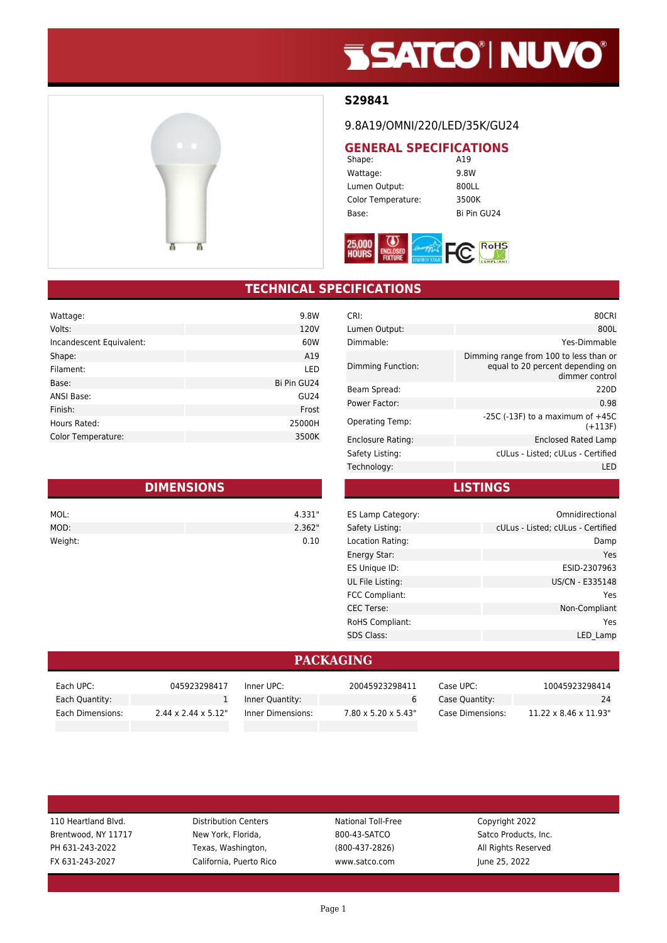# **SSATCO' NUVO'**



### **S29841**

#### 9.8A19/OMNI/220/LED/35K/GU24

# **GENERAL SPECIFICATIONS**<br>Shape: A19

Shape: Wattage: 9.8W Lumen Output: 800LL Color Temperature: 3500K Base: Bi Pin GU24



## **TECHNICAL SPECIFICATIONS**

| Wattage:                 | 9.8W             |
|--------------------------|------------------|
| Volts:                   | 120V             |
| Incandescent Equivalent: | 60W              |
| Shape:                   | A19              |
| Filament:                | LED              |
| Base:                    | Bi Pin GU24      |
| ANSI Base:               | GU <sub>24</sub> |
| Finish:                  | Frost            |
| Hours Rated:             | 25000H           |
| Color Temperature:       | 3500K            |

| <b>DIMENSIONS</b> |        |  |
|-------------------|--------|--|
| MOL:              | 4.331" |  |
| MOD:              | 2.362" |  |
| Weight:           | 0.10   |  |

| 80CRI                                                                                        |
|----------------------------------------------------------------------------------------------|
| 800L                                                                                         |
| Yes-Dimmable                                                                                 |
| Dimming range from 100 to less than or<br>equal to 20 percent depending on<br>dimmer control |
| 220D                                                                                         |
| 0.98                                                                                         |
| -25C (-13F) to a maximum of $+45C$<br>$(+113F)$                                              |
| <b>Enclosed Rated Lamp</b>                                                                   |
| cULus - Listed; cULus - Certified                                                            |
| LED                                                                                          |
|                                                                                              |

**LISTINGS**

| ES Lamp Category:      | Omnidirectional                   |
|------------------------|-----------------------------------|
| Safety Listing:        | cULus - Listed; cULus - Certified |
| Location Rating:       | Damp                              |
| Energy Star:           | Yes                               |
| ES Unique ID:          | ESID-2307963                      |
| UL File Listing:       | US/CN - E335148                   |
| FCC Compliant:         | Yes                               |
| <b>CEC Terse:</b>      | Non-Compliant                     |
| <b>RoHS Compliant:</b> | Yes                               |
| <b>SDS Class:</b>      | LED Lamp                          |
|                        |                                   |

#### **PACKAGING**

| Each UPC:        | 045923298417                     | Inner UPC:        | 20045923298411                   | Case UPC:        | 10045923298414                     |
|------------------|----------------------------------|-------------------|----------------------------------|------------------|------------------------------------|
| Each Quantity:   |                                  | Inner Quantity:   |                                  | Case Quantity:   | 24                                 |
| Each Dimensions: | $2.44 \times 2.44 \times 5.12$ " | Inner Dimensions: | $7.80 \times 5.20 \times 5.43$ " | Case Dimensions: | $11.22 \times 8.46 \times 11.93$ " |

| 110 Heartland Blvd. |  |  |
|---------------------|--|--|
| Brentwood, NY 11717 |  |  |
| PH 631-243-2022     |  |  |
| FX 631-243-2027     |  |  |

Distribution Centers **National Toll-Free** Copyright 2022 New York, Florida, Satco Products, Inc. 600-43-SATCO Satco Products, Inc. Texas, Washington, Texas, Washington, 2800-437-2826) All Rights Reserved

California, Puerto Rico www.satco.com June 25, 2022